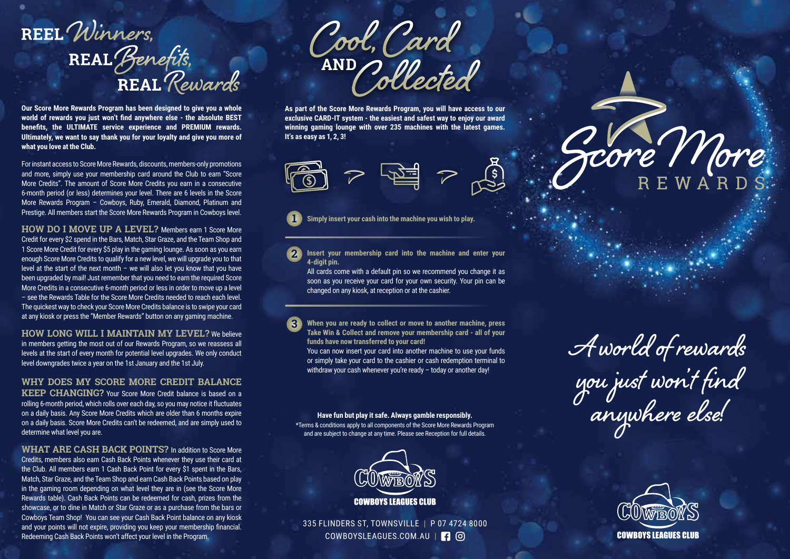## REEL Winners, REAL Benefits,<br>REAL Rewards

**Our Score More Rewards Program has been designed to give you a whole world of rewards you just won't find anywhere else - the absolute BEST benefits, the ULTIMATE service experience and PREMIUM rewards. Ultimately, we want to say thank you for your loyalty and give you more of what you love at the Club.** 

For instant access to Score More Rewards, discounts, members-only promotions and more, simply use your membership card around the Club to earn "Score More Credits". The amount of Score More Credits you earn in a consecutive 6-month period (or less) determines your level. There are 6 levels in the Score More Rewards Program – Cowboys, Ruby, Emerald, Diamond, Platinum and Prestige. All members start the Score More Rewards Program in Cowboys level.

**HOW DO I MOVE UP A LEVEL?** Members earn 1 Score More Credit for every \$2 spend in the Bars, Match, Star Graze, and the Team Shop and 1 Score More Credit for every \$5 play in the gaming lounge. As soon as you earn enough Score More Credits to qualify for a new level, we will upgrade you to that level at the start of the next month – we will also let you know that you have been upgraded by mail! Just remember that you need to earn the required Score More Credits in a consecutive 6-month period or less in order to move up a level – see the Rewards Table for the Score More Credits needed to reach each level. The quickest way to check your Score More Credits balance is to swipe your card at any kiosk or press the "Member Rewards" button on any gaming machine.

**HOW LONG WILL I MAINTAIN MY LEVEL?** We believe in members getting the most out of our Rewards Program, so we reassess all levels at the start of every month for potential level upgrades. We only conduct level downgrades twice a year on the 1st January and the 1st July.

## **WHY DOES MY SCORE MORE CREDIT BALANCE**

**KEEP CHANGING?** Your Score More Credit balance is based on a rolling 6-month period, which rolls over each day, so you may notice it fluctuates on a daily basis. Any Score More Credits which are older than 6 months expire on a daily basis. Score More Credits can't be redeemed, and are simply used to determine what level you are.

**WHAT ARE CASH BACK POINTS?** In addition to Score More Credits, members also earn Cash Back Points whenever they use their card at the Club. All members earn 1 Cash Back Point for every \$1 spent in the Bars, Match, Star Graze, and the Team Shop and earn Cash Back Points based on play in the gaming room depending on what level they are in (see the Score More Rewards table). Cash Back Points can be redeemed for cash, prizes from the showcase, or to dine in Match or Star Graze or as a purchase from the bars or Cowboys Team Shop! You can see your Cash Back Point balance on any kiosk and your points will not expire, providing you keep your membership financial. Redeeming Cash Back Points won't affect your level in the Program.

Cool, Card<br>AND Collected

**As part of the Score More Rewards Program, you will have access to our exclusive CARD-IT system - the easiest and safest way to enjoy our award winning gaming lounge with over 235 machines with the latest games. It's as easy as 1, 2, 3!**



**Simply insert your cash into the machine you wish to play. 1**

**Insert your membership card into the machine and enter your 4-digit pin. 2**

All cards come with a default pin so we recommend you change it as soon as you receive your card for your own security. Your pin can be changed on any kiosk, at reception or at the cashier.

**When you are ready to collect or move to another machine, press Take Win & Collect and remove your membership card - all of your funds have now transferred to your card! 3**

You can now insert your card into another machine to use your funds or simply take your card to the cashier or cash redemption terminal to withdraw your cash whenever you're ready - today or another day!

## **Have fun but play it safe. Always gamble responsibly.**

\*Terms & conditions apply to all components of the Score More Rewards Program and are subject to change at any time. Please see Reception for full details.



335 FLINDERS ST, TOWNSVILLE | P 07 4724 8000 COWBOYSLEAGUES.COM.AU | <mark>4</mark> 0

**A world of rewards you just won't find anywhere else!**

Jore More